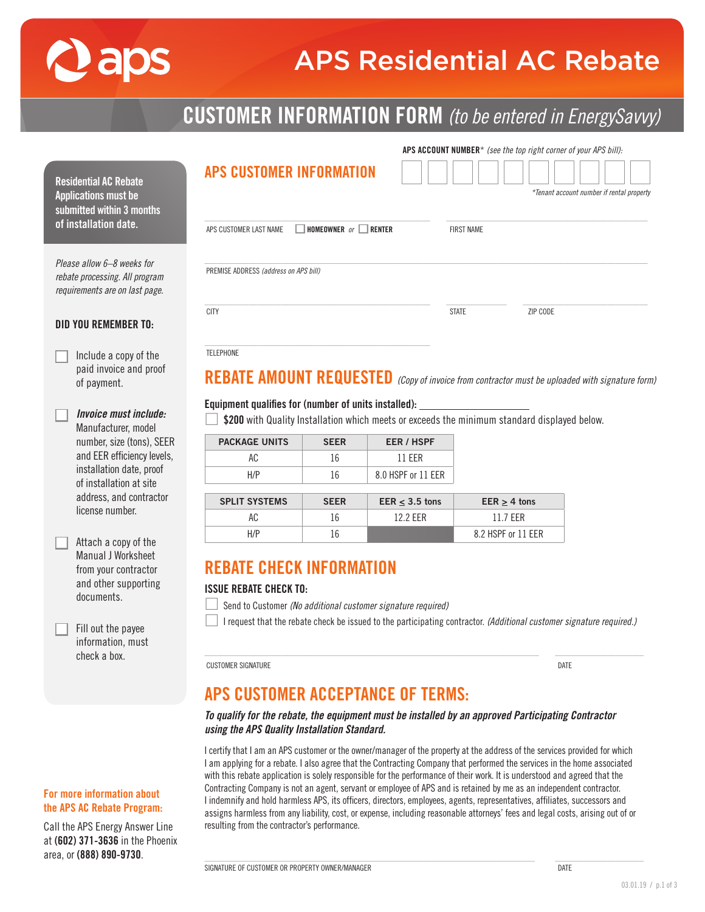# **Paps**

For more information about the APS AC Rebate Program: Call the APS Energy Answer Line at (602) 371-3636 in the Phoenix area, or (888) 890-9730.

# APS Residential AC Rebate

# CUSTOMER INFORMATION FORM *(to be entered in EnergySavvy)*

| <b>APS CUSTOMER INFORMATION</b><br><b>Residential AC Rebate</b><br>*Tenant account number if rental property<br><b>Applications must be</b><br>submitted within 3 months<br>of installation date.<br>$\Box$ HOMEOWNER or $\Box$ RENTER<br>APS CUSTOMER LAST NAME<br><b>FIRST NAME</b><br>Please allow 6-8 weeks for<br>PREMISE ADDRESS (address on APS bill)<br>rebate processing. All program<br>requirements are on last page.<br><b>CITY</b><br><b>STATE</b><br>ZIP CODE<br><b>DID YOU REMEMBER TO:</b><br><b>TELEPHONE</b><br>Include a copy of the<br>paid invoice and proof<br>REBATE AMOUNT REQUESTED (Copy of invoice from contractor must be uploaded with signature form)<br>of payment.<br>Equipment qualifies for (number of units installed): _<br><b>Invoice must include:</b><br>\$200 with Quality Installation which meets or exceeds the minimum standard displayed below.<br>Manufacturer, model<br>number, size (tons), SEER<br><b>PACKAGE UNITS</b><br><b>EER / HSPF</b><br><b>SEER</b><br>and EER efficiency levels,<br>AC<br>16<br><b>11 EER</b><br>installation date, proof<br>H/P<br>8.0 HSPF or 11 EER<br>16<br>of installation at site<br>address, and contractor<br><b>SPLIT SYSTEMS</b><br><b>SEER</b><br>EER $\leq$ 3.5 tons<br>EER $\geq$ 4 tons<br>license number.<br>AC<br>11.7 EER<br>16<br>12.2 EER<br>H/P<br>16<br>8.2 HSPF or 11 EER<br>Attach a copy of the<br><b>Manual J Worksheet</b><br><b>REBATE CHECK INFORMATION</b><br>from your contractor<br>and other supporting<br><b>ISSUE REBATE CHECK TO:</b><br>documents.<br>Send to Customer (No additional customer signature required)<br>I request that the rebate check be issued to the participating contractor. (Additional customer signature required.)<br>Fill out the payee<br>information, must<br>check a box.<br><b>CUSTOMER SIGNATURE</b><br>DATE |  |  |  |  |  | APS ACCOUNT NUMBER* (see the top right corner of your APS bill): |  |
|----------------------------------------------------------------------------------------------------------------------------------------------------------------------------------------------------------------------------------------------------------------------------------------------------------------------------------------------------------------------------------------------------------------------------------------------------------------------------------------------------------------------------------------------------------------------------------------------------------------------------------------------------------------------------------------------------------------------------------------------------------------------------------------------------------------------------------------------------------------------------------------------------------------------------------------------------------------------------------------------------------------------------------------------------------------------------------------------------------------------------------------------------------------------------------------------------------------------------------------------------------------------------------------------------------------------------------------------------------------------------------------------------------------------------------------------------------------------------------------------------------------------------------------------------------------------------------------------------------------------------------------------------------------------------------------------------------------------------------------------------------------------------------------------------------------------------------------------------------|--|--|--|--|--|------------------------------------------------------------------|--|
|                                                                                                                                                                                                                                                                                                                                                                                                                                                                                                                                                                                                                                                                                                                                                                                                                                                                                                                                                                                                                                                                                                                                                                                                                                                                                                                                                                                                                                                                                                                                                                                                                                                                                                                                                                                                                                                          |  |  |  |  |  |                                                                  |  |
|                                                                                                                                                                                                                                                                                                                                                                                                                                                                                                                                                                                                                                                                                                                                                                                                                                                                                                                                                                                                                                                                                                                                                                                                                                                                                                                                                                                                                                                                                                                                                                                                                                                                                                                                                                                                                                                          |  |  |  |  |  |                                                                  |  |
|                                                                                                                                                                                                                                                                                                                                                                                                                                                                                                                                                                                                                                                                                                                                                                                                                                                                                                                                                                                                                                                                                                                                                                                                                                                                                                                                                                                                                                                                                                                                                                                                                                                                                                                                                                                                                                                          |  |  |  |  |  |                                                                  |  |
|                                                                                                                                                                                                                                                                                                                                                                                                                                                                                                                                                                                                                                                                                                                                                                                                                                                                                                                                                                                                                                                                                                                                                                                                                                                                                                                                                                                                                                                                                                                                                                                                                                                                                                                                                                                                                                                          |  |  |  |  |  |                                                                  |  |
|                                                                                                                                                                                                                                                                                                                                                                                                                                                                                                                                                                                                                                                                                                                                                                                                                                                                                                                                                                                                                                                                                                                                                                                                                                                                                                                                                                                                                                                                                                                                                                                                                                                                                                                                                                                                                                                          |  |  |  |  |  |                                                                  |  |
|                                                                                                                                                                                                                                                                                                                                                                                                                                                                                                                                                                                                                                                                                                                                                                                                                                                                                                                                                                                                                                                                                                                                                                                                                                                                                                                                                                                                                                                                                                                                                                                                                                                                                                                                                                                                                                                          |  |  |  |  |  |                                                                  |  |
|                                                                                                                                                                                                                                                                                                                                                                                                                                                                                                                                                                                                                                                                                                                                                                                                                                                                                                                                                                                                                                                                                                                                                                                                                                                                                                                                                                                                                                                                                                                                                                                                                                                                                                                                                                                                                                                          |  |  |  |  |  |                                                                  |  |
|                                                                                                                                                                                                                                                                                                                                                                                                                                                                                                                                                                                                                                                                                                                                                                                                                                                                                                                                                                                                                                                                                                                                                                                                                                                                                                                                                                                                                                                                                                                                                                                                                                                                                                                                                                                                                                                          |  |  |  |  |  |                                                                  |  |
|                                                                                                                                                                                                                                                                                                                                                                                                                                                                                                                                                                                                                                                                                                                                                                                                                                                                                                                                                                                                                                                                                                                                                                                                                                                                                                                                                                                                                                                                                                                                                                                                                                                                                                                                                                                                                                                          |  |  |  |  |  |                                                                  |  |
|                                                                                                                                                                                                                                                                                                                                                                                                                                                                                                                                                                                                                                                                                                                                                                                                                                                                                                                                                                                                                                                                                                                                                                                                                                                                                                                                                                                                                                                                                                                                                                                                                                                                                                                                                                                                                                                          |  |  |  |  |  |                                                                  |  |
|                                                                                                                                                                                                                                                                                                                                                                                                                                                                                                                                                                                                                                                                                                                                                                                                                                                                                                                                                                                                                                                                                                                                                                                                                                                                                                                                                                                                                                                                                                                                                                                                                                                                                                                                                                                                                                                          |  |  |  |  |  |                                                                  |  |
|                                                                                                                                                                                                                                                                                                                                                                                                                                                                                                                                                                                                                                                                                                                                                                                                                                                                                                                                                                                                                                                                                                                                                                                                                                                                                                                                                                                                                                                                                                                                                                                                                                                                                                                                                                                                                                                          |  |  |  |  |  |                                                                  |  |
| <b>APS CUSTOMER ACCEPTANCE OF TERMS:</b>                                                                                                                                                                                                                                                                                                                                                                                                                                                                                                                                                                                                                                                                                                                                                                                                                                                                                                                                                                                                                                                                                                                                                                                                                                                                                                                                                                                                                                                                                                                                                                                                                                                                                                                                                                                                                 |  |  |  |  |  |                                                                  |  |
| To qualify for the rebate, the equipment must be installed by an approved Participating Contractor<br>using the APS Quality Installation Standard.                                                                                                                                                                                                                                                                                                                                                                                                                                                                                                                                                                                                                                                                                                                                                                                                                                                                                                                                                                                                                                                                                                                                                                                                                                                                                                                                                                                                                                                                                                                                                                                                                                                                                                       |  |  |  |  |  |                                                                  |  |

I certify that I am an APS customer or the owner/manager of the property at the address of the services provided for which I am applying for a rebate. I also agree that the Contracting Company that performed the services in the home associated with this rebate application is solely responsible for the performance of their work. It is understood and agreed that the Contracting Company is not an agent, servant or employee of APS and is retained by me as an independent contractor. I indemnify and hold harmless APS, its officers, directors, employees, agents, representatives, affiliates, successors and assigns harmless from any liability, cost, or expense, including reasonable attorneys' fees and legal costs, arising out of or resulting from the contractor's performance.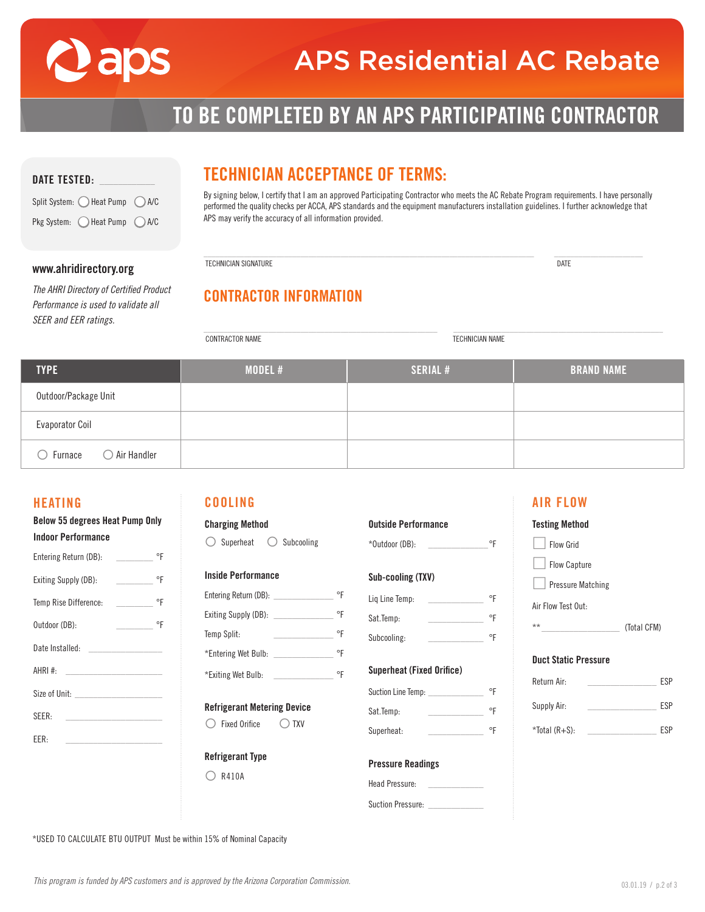

# APS Residential AC Rebate

# TO BE COMPLETED BY AN APS PARTICIPATING CONTRACTOR

| <b>DATE TESTED:</b> |  |
|---------------------|--|
|                     |  |

Split System:  $\bigcirc$  Heat Pump  $\bigcirc$  A/C Pkg System:  $\bigcirc$  Heat Pump  $\bigcirc$  A/C

### TECHNICIAN ACCEPTANCE OF TERMS:

By signing below, I certify that I am an approved Participating Contractor who meets the AC Rebate Program requirements. I have personally performed the quality checks per ACCA, APS standards and the equipment manufacturers installation guidelines. I further acknowledge that APS may verify the accuracy of all information provided.

\_\_\_\_\_\_\_\_\_\_\_\_\_\_\_\_\_\_\_\_\_\_\_\_\_\_\_\_\_\_\_\_\_\_\_\_\_\_\_\_\_\_\_\_\_\_\_\_\_\_\_\_\_\_\_\_\_\_\_\_\_\_\_\_\_\_\_\_\_\_\_\_\_\_\_\_\_\_\_\_\_\_ \_\_\_\_\_\_\_\_\_\_\_\_\_\_\_\_\_\_\_\_\_\_

| www.ahridirectory.org |  |
|-----------------------|--|
|-----------------------|--|

*The AHRI Directory of Certified Product Performance is used to validate all SEER and EER ratings.* 

## TECHNICIAN SIGNATURE DATE

CONTRACTOR INFORMATION

\_\_\_\_\_\_\_\_\_\_\_\_\_\_\_\_\_\_\_\_\_\_\_\_\_\_\_\_\_\_\_\_\_\_\_\_\_\_\_\_\_\_\_\_\_\_\_\_\_\_\_\_\_\_\_\_\_\_ \_\_\_\_\_\_\_\_\_\_\_\_\_\_\_\_\_\_\_\_\_\_\_\_\_\_\_\_\_\_\_\_\_\_\_\_\_\_\_\_\_\_\_\_\_\_\_\_\_\_\_\_ CONTRACTOR NAME TECHNICIAN NAME

| <b>TYPE</b>                                  | MODEL # | <b>SERIAL #</b> | <b>BRAND NAME</b> |
|----------------------------------------------|---------|-----------------|-------------------|
| Outdoor/Package Unit                         |         |                 |                   |
| Evaporator Coil                              |         |                 |                   |
| $\bigcirc$ Air Handler<br>$\bigcirc$ Furnace |         |                 |                   |

#### HEATING

| Below 55 degrees heat Pump Univ                    |                                |  |
|----------------------------------------------------|--------------------------------|--|
| <b>Indoor Performance</b>                          |                                |  |
| Entering Return (DB):                              | °F<br><b>Contract Contract</b> |  |
| °F<br>Exiting Supply (DB):                         |                                |  |
| Temp Rise Difference: __________                   | $\circ$ F                      |  |
| ٥F<br>Outdoor (DB):                                |                                |  |
| Date Installed:                                    |                                |  |
| AHRI $#$<br>the control of the control of the      |                                |  |
|                                                    |                                |  |
| SEER:                                              |                                |  |
| FFR-<br><u> 1999 - Johann Barnett, mars et al.</u> |                                |  |
|                                                    |                                |  |

Below 55 degrees Heat Pump Only

#### COOLING

| <b>Charging Method</b> |               |  |                |  |
|------------------------|---------------|--|----------------|--|
|                        | ( ) Superheat |  | ( ) Subcooling |  |

#### Inside Performance

| Entering Return (DB): | ۰F |
|-----------------------|----|
| Exiting Supply (DB):  | ۰F |
| Temp Split:           | ۰F |
| *Entering Wet Bulb:   | ۰Ŀ |
| *Exiting Wet Bulb:    |    |

#### Refrigerant Metering Device

◯ Fixed Orifice ◯ TXV

#### Refrigerant Type

 $\bigcirc$  R410A

| <b>Outside Performance</b> |   |  |
|----------------------------|---|--|
| *Outdoor (DB):             |   |  |
| Sub-cooling (TXV)          |   |  |
| Lig Line Temp:             | 아 |  |
| Sat.Temp:                  | 아 |  |
| Subcooling:                | ⊶ |  |
|                            |   |  |

#### Superheat (Fixed Orifice)

| Suction Line Temp: |  |
|--------------------|--|
| Sat.Temp:          |  |
| Superheat:         |  |

#### Pressure Readings

| Head Pressure:    |  |
|-------------------|--|
|                   |  |
| Suction Pressure: |  |

### Testing Method

AIR FLOW

| <b>Flow Grid</b>         |  |  |
|--------------------------|--|--|
| <b>Flow Capture</b>      |  |  |
| <b>Pressure Matching</b> |  |  |
| Air Flow Test Out:       |  |  |

| ** | (Total CFM) |
|----|-------------|
|    |             |

#### Duct Static Pressure

| Return Air:   | <b>ESP</b> |
|---------------|------------|
| Supply Air:   | <b>FSP</b> |
| *Total (R+S): | <b>FSP</b> |

\*USED TO CALCULATE BTU OUTPUT Must be within 15% of Nominal Capacity